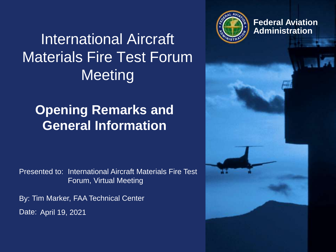

**Federal Aviation**

# **International Aircraft** Materials Fire Test Forum **Meeting**

# **Opening Remarks and General Information**

Presented to: International Aircraft Materials Fire Test Forum, Virtual Meeting

By: Tim Marker, FAA Technical Center Date: April 19, 2021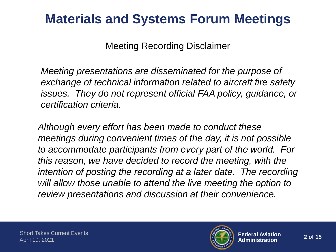## **Materials and Systems Forum Meetings**

Meeting Recording Disclaimer

*Meeting presentations are disseminated for the purpose of exchange of technical information related to aircraft fire safety issues. They do not represent official FAA policy, guidance, or certification criteria.*

*Although every effort has been made to conduct these meetings during convenient times of the day, it is not possible to accommodate participants from every part of the world. For this reason, we have decided to record the meeting, with the intention of posting the recording at a later date. The recording will allow those unable to attend the live meeting the option to review presentations and discussion at their convenience.*

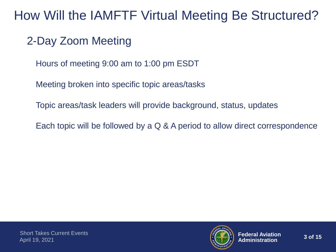## How Will the IAMFTF Virtual Meeting Be Structured?

## 2-Day Zoom Meeting

Hours of meeting 9:00 am to 1:00 pm ESDT

Meeting broken into specific topic areas/tasks

Topic areas/task leaders will provide background, status, updates

Each topic will be followed by a Q & A period to allow direct correspondence

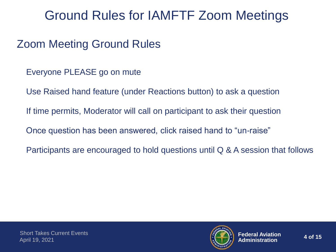## Ground Rules for IAMFTF Zoom Meetings

## Zoom Meeting Ground Rules

- Everyone PLEASE go on mute
- Use Raised hand feature (under Reactions button) to ask a question
- If time permits, Moderator will call on participant to ask their question
- Once question has been answered, click raised hand to "un-raise"
- Participants are encouraged to hold questions until Q & A session that follows

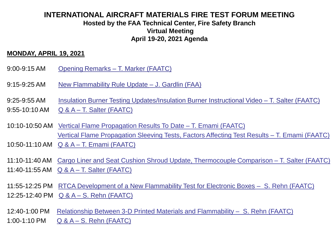### **INTERNATIONAL AIRCRAFT MATERIALS FIRE TEST FORUM MEETING Hosted by the FAA Technical Center, Fire Safety Branch Virtual Meeting April 19-20, 2021 Agenda**

#### **MONDAY, APRIL 19, 2021**

- 9:00-9:15 AM Opening Remarks T. Marker (FAATC)
- 9:15-9:25 AM New Flammability Rule Update J. Gardlin (FAA)
- 9:25-9:55 AM Insulation Burner Testing Updates/Insulation Burner Instructional Video T. Salter (FAATC)
- 9:55-10:10 AM Q & A T. Salter (FAATC)
- 10:10-10:50 AM [Vertical Flame Propagation Results](Shorttakes0320.pptx) To Date T. Emami (FAATC) Vertical Flame Propagation Sleeving [Tests, Factors Affecting Test Results –](Shorttakes0320.pptx) T. Emami (FAATC)
- 10:50-11:10 AM Q & A T. Emami (FAATC)
- 11:10-11:40 AM Cargo Liner and [Seat Cushion Shroud Update, Thermocouple Comparison –](magtask2020March.pptx) T. Salter (FAATC) 11:40-11:55 AM Q & A – T. Salter (FAATC)
- 11:55-12:25 PM RTCA D[ev](Salter_CargoBafflePresentation_Mobile2020_Rev5.pptx)elopment of a New Flammability Test for Electronic Boxes S. Rehn [\(FAATC\)](Salter_CargoBafflePresentation_Mobile2020_Rev5.pptx) 12:25-12:40 PM Q & A – S. Rehn (FAATC)
- 12:40-1:00 PM [Relationship Between 3-D Printed Materials and Flammability –](Rehn 2021-04-19 Additive Manufacturing Testing.pptx) S. Rehn (FAATC)
- 1:00-1:10 PM Q & A S. Rehn (FAATC)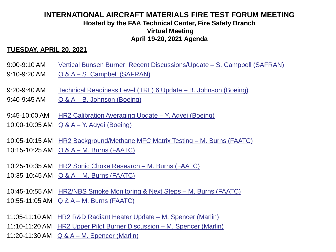### **INTERNATIONAL AIRCRAFT MATERIALS FIRE TEST FORUM MEETING Hosted by the FAA Technical Center, Fire Safety Branch Virtual Meeting April 19-20, 2021 Agenda**

#### **TUESDAY, APRIL 20, 2021**

- 9:00-9:10 AM Vertical Bunsen Burner: Recent Discussions/Update S. Campbell (SAFRAN)
- 9:10-9:20 AM Q & A S. Campbell (SAFRAN)
- 9:20-9:40 AM Technical Readiness Level (TRL) 6 Update B. Johnson (Boeing)
- 9:40-9:45 AM Q & A B. Johnson (Boeing)
- 9:45-10:00 AM HR2 Calibration Averaging Update Y. Agyei (Boeing)
- 10:00-10:05 AM Q & A Y. Agyei (Boeing)
- 10:05-10:15 AM HR2 Background/Methane MFC Matrix Testing M. Burns (FAATC)
- 10:15-10:25 AM Q & A M. Burns (FAATC)
- 10:25-10:35 AM HR2 Sonic Choke Research M. Burns (FAATC)
- 10:35-10:45 AM Q & A M. Burns (FAATC)
- 10:45-10:55 AM HR2/NBS Smoke Monitoring & Next Steps M. Burns (FAATC) 10:55-11:05 AM Q & A – M. Burns (FAATC)
- 11:05-11:10 AM HR2 R&D Radiant Heater Update M. Spencer (Marlin)
- 11:10-11:20 AM HR2 Upper Pilot Burner Discussion M. Spencer (Marlin)
- 11:20-11:30 AM Q & A M. Spencer (Marlin)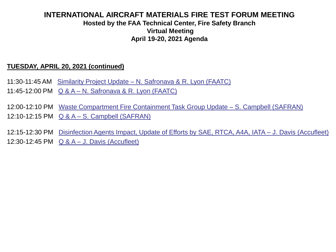### **INTERNATIONAL AIRCRAFT MATERIALS FIRE TEST FORUM MEETING Hosted by the FAA Technical Center, Fire Safety Branch Virtual Meeting April 19-20, 2021 Agenda**

#### **TUESDAY, APRIL 20, 2021 (continued)**

- 11:30-11:45 AM Similarity Project Update N. Safronava & R. Lyon (FAATC)
- 11:45-12:00 PM Q & A N. Safronava & R. Lyon (FAATC)
- 12:00-12:10 PM Waste Compartment Fire Containment Task Group Update S. Campbell (SAFRAN)
- 12:10-12:15 PM Q & A S. Campbell (SAFRAN)
- 12:15-12:30 PM Disinfection Agents Impact, Update of Efforts by SAE, RTCA, A4A, IATA J. Davis (Accufleet) 12:30-12:45 PM Q & A – J. Davis (Accufleet)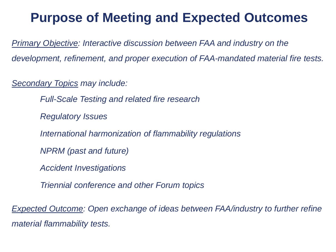## **Purpose of Meeting and Expected Outcomes**

*Primary Objective: Interactive discussion between FAA and industry on the development, refinement, and proper execution of FAA-mandated material fire tests.*

*Secondary Topics may include:*

*Full-Scale Testing and related fire research*

*Regulatory Issues*

*International harmonization of flammability regulations*

*NPRM (past and future)*

*Accident Investigations*

*Triennial conference and other Forum topics*

*Expected Outcome: Open exchange of ideas between FAA/industry to further refine material flammability tests.*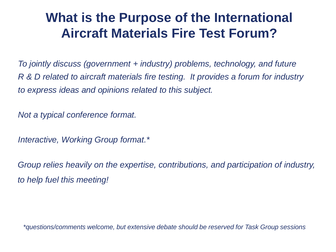## **What is the Purpose of the International Aircraft Materials Fire Test Forum?**

*To jointly discuss (government + industry) problems, technology, and future R & D related to aircraft materials fire testing. It provides a forum for industry to express ideas and opinions related to this subject.*

*Not a typical conference format.*

*Interactive, Working Group format.\**

*Group relies heavily on the expertise, contributions, and participation of industry, to help fuel this meeting!*

*\*questions/comments welcome, but extensive debate should be reserved for Task Group sessions*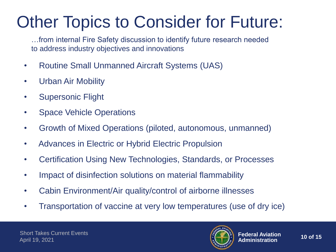# Other Topics to Consider for Future:

…from internal Fire Safety discussion to identify future research needed to address industry objectives and innovations

- Routine Small Unmanned Aircraft Systems (UAS)
- Urban Air Mobility
- Supersonic Flight
- Space Vehicle Operations
- Growth of Mixed Operations (piloted, autonomous, unmanned)
- Advances in Electric or Hybrid Electric Propulsion
- Certification Using New Technologies, Standards, or Processes
- Impact of disinfection solutions on material flammability
- Cabin Environment/Air quality/control of airborne illnesses
- Transportation of vaccine at very low temperatures (use of dry ice)

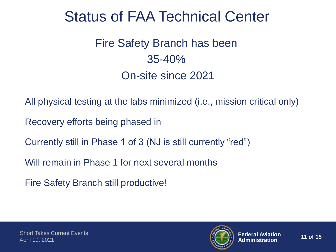# Status of FAA Technical Center

Fire Safety Branch has been 35-40% On-site since 2021

All physical testing at the labs minimized (i.e., mission critical only)

Recovery efforts being phased in

Currently still in Phase 1 of 3 (NJ is still currently "red")

Will remain in Phase 1 for next several months

Fire Safety Branch still productive!

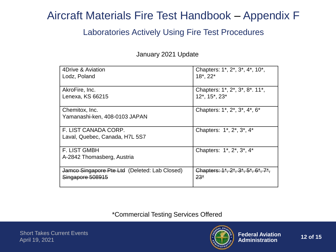## Aircraft Materials Fire Test Handbook – Appendix F

### Laboratories Actively Using Fire Test Procedures

January 2021 Update

| 4Drive & Aviation                                      | Chapters: 1*, 2*, 3*, 4*, 10*,           |
|--------------------------------------------------------|------------------------------------------|
| Lodz, Poland                                           | $18^*$ , $22^*$                          |
| AkroFire, Inc.                                         | Chapters: 1*, 2*, 3*, 8*. 11*,           |
| Lenexa, KS 66215                                       | 12*, 15*, 23*                            |
| Chemitox, Inc.<br>Yamanashi-ken, 408-0103 JAPAN        | Chapters: 1*, 2*, 3*, 4*, 6*             |
| F. LIST CANADA CORP.<br>Laval, Quebec, Canada, H7L 5S7 | Chapters: 1*, 2*, 3*, 4*                 |
| <b>F. LIST GMBH</b><br>A-2842 Thomasberg, Austria      | Chapters: 1*, 2*, 3*, 4*                 |
| Jamco Singapore Pte Ltd (Deleted: Lab Closed)          | Chapters: $1^*, 2^*, 3^*, 5^*, 6^*, 7^*$ |
| Singapore 508915                                       | $23*$                                    |

\*Commercial Testing Services Offered

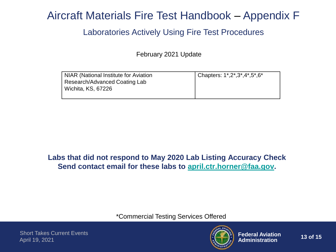## Aircraft Materials Fire Test Handbook – Appendix F

### Laboratories Actively Using Fire Test Procedures

February 2021 Update

| NIAR (National Institute for Aviation | Chapters: $1^{\ast}, 2^{\ast}, 3^{\ast}, 4^{\ast}, 5^{\ast}, 6^{\ast}$ |
|---------------------------------------|------------------------------------------------------------------------|
| Research/Advanced Coating Lab         |                                                                        |
| l Wichita, KS, 67226                  |                                                                        |
|                                       |                                                                        |

### **Labs that did not respond to May 2020 Lab Listing Accuracy Check Send contact email for these labs to [april.ctr.horner@faa.gov.](mailto:april.ctr.horner@faa.gov)**

\*Commercial Testing Services Offered

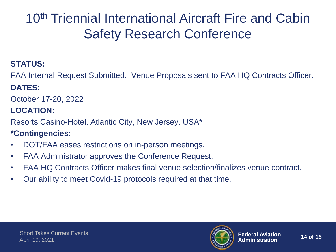# 10<sup>th</sup> Triennial International Aircraft Fire and Cabin Safety Research Conference

### **STATUS:**

FAA Internal Request Submitted. Venue Proposals sent to FAA HQ Contracts Officer.

## **DATES:**

October 17-20, 2022

## **LOCATION:**

Resorts Casino-Hotel, Atlantic City, New Jersey, USA\*

## **\*Contingencies:**

- DOT/FAA eases restrictions on in-person meetings.
- FAA Administrator approves the Conference Request.
- FAA HQ Contracts Officer makes final venue selection/finalizes venue contract.
- Our ability to meet Covid-19 protocols required at that time.